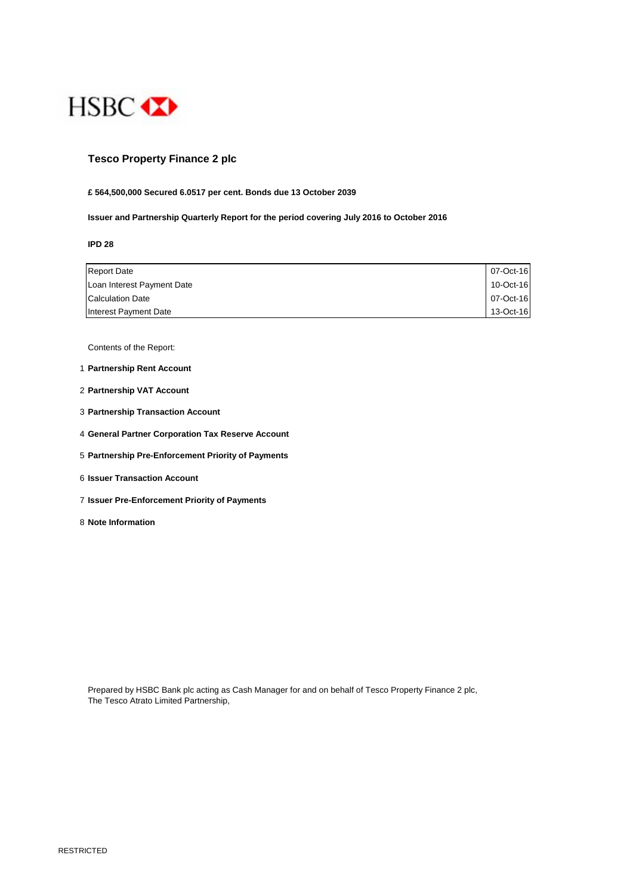

## **Tesco Property Finance 2 plc**

### **£ 564,500,000 Secured 6.0517 per cent. Bonds due 13 October 2039**

**Issuer and Partnership Quarterly Report for the period covering July 2016 to October 2016**

**IPD 28**

| <b>Report Date</b>         | 07-Oct-16 |
|----------------------------|-----------|
| Loan Interest Payment Date | 10-Oct-16 |
| <b>Calculation Date</b>    | 07-Oct-16 |
| Interest Payment Date      | 13-Oct-16 |

Contents of the Report:

- 1 **Partnership Rent Account**
- 2 **Partnership VAT Account**
- 3 **Partnership Transaction Account**
- 4 **General Partner Corporation Tax Reserve Account**
- 5 **Partnership Pre-Enforcement Priority of Payments**
- 6 **Issuer Transaction Account**
- 7 **Issuer Pre-Enforcement Priority of Payments**
- 8 **Note Information**

Prepared by HSBC Bank plc acting as Cash Manager for and on behalf of Tesco Property Finance 2 plc, The Tesco Atrato Limited Partnership,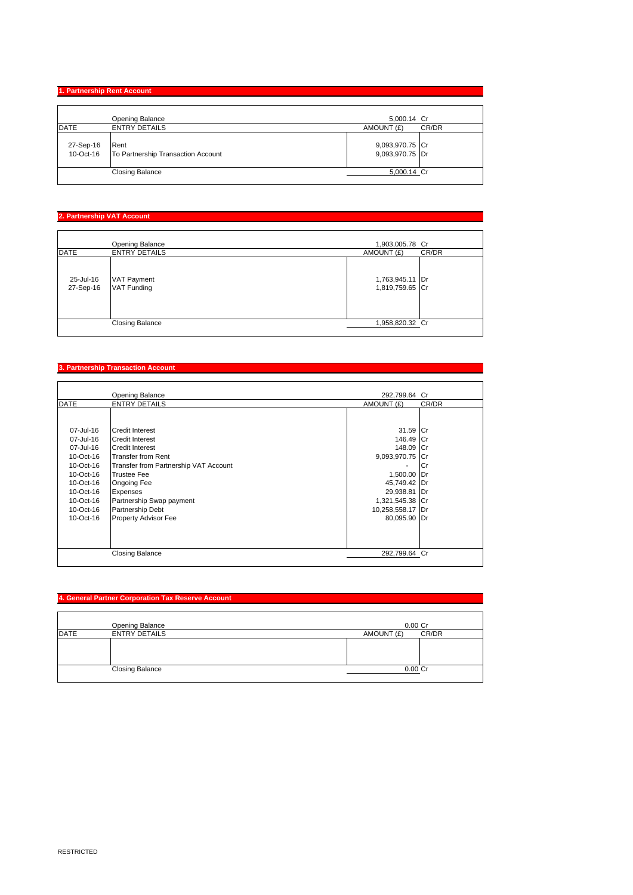# **1. Partnership Rent Account**

|             | Opening Balance                    | 5,000.14 Cr     |       |
|-------------|------------------------------------|-----------------|-------|
| <b>DATE</b> | <b>ENTRY DETAILS</b>               | AMOUNT (£)      | CR/DR |
| 27-Sep-16   | Rent                               | 9,093,970.75 Cr |       |
| 10-Oct-16   | To Partnership Transaction Account | 9,093,970.75 Dr |       |
|             | <b>Closing Balance</b>             | 5,000.14 Cr     |       |

### **2. Partnership VAT Account**

|                        | <b>Opening Balance</b>                   | 1,903,005.78 Cr                    |       |
|------------------------|------------------------------------------|------------------------------------|-------|
| <b>DATE</b>            | <b>ENTRY DETAILS</b>                     | AMOUNT (£)                         | CR/DR |
| 25-Jul-16<br>27-Sep-16 | <b>VAT Payment</b><br><b>VAT Funding</b> | 1,763,945.11 Dr<br>1,819,759.65 Cr |       |
|                        | <b>Closing Balance</b>                   | 1,958,820.32 Cr                    |       |

## **3. Partnership Transaction Account**

|                                                                                                                                             | Opening Balance                                                                                                                                                                                                                                                                  | 292,799.64 Cr                                                                                                                                                    |       |
|---------------------------------------------------------------------------------------------------------------------------------------------|----------------------------------------------------------------------------------------------------------------------------------------------------------------------------------------------------------------------------------------------------------------------------------|------------------------------------------------------------------------------------------------------------------------------------------------------------------|-------|
| <b>DATE</b>                                                                                                                                 | <b>ENTRY DETAILS</b>                                                                                                                                                                                                                                                             | AMOUNT (£)                                                                                                                                                       | CR/DR |
| 07-Jul-16<br>07-Jul-16<br>07-Jul-16<br>10-Oct-16<br>10-Oct-16<br>10-Oct-16<br>10-Oct-16<br>10-Oct-16<br>10-Oct-16<br>10-Oct-16<br>10-Oct-16 | <b>Credit Interest</b><br><b>Credit Interest</b><br><b>Credit Interest</b><br><b>Transfer from Rent</b><br>Transfer from Partnership VAT Account<br><b>Trustee Fee</b><br>Ongoing Fee<br><b>Expenses</b><br>Partnership Swap payment<br>Partnership Debt<br>Property Advisor Fee | 31.59 Cr<br>146.49 Cr<br>148.09 Cr<br>9,093,970.75 Cr<br>٠<br>1,500.00 Dr<br>45,749.42 Dr<br>29,938.81 Dr<br>1,321,545.38 Cr<br>10,258,558.17 Dr<br>80,095.90 Dr | l Cr  |
|                                                                                                                                             | <b>Closing Balance</b>                                                                                                                                                                                                                                                           | 292,799.64 Cr                                                                                                                                                    |       |

#### **4. General Partner Corporation Tax Reserve Account**

| 0.00 Cr             |
|---------------------|
| CR/DR<br>AMOUNT (£) |
|                     |
|                     |
|                     |
| 0.00 Cr             |
|                     |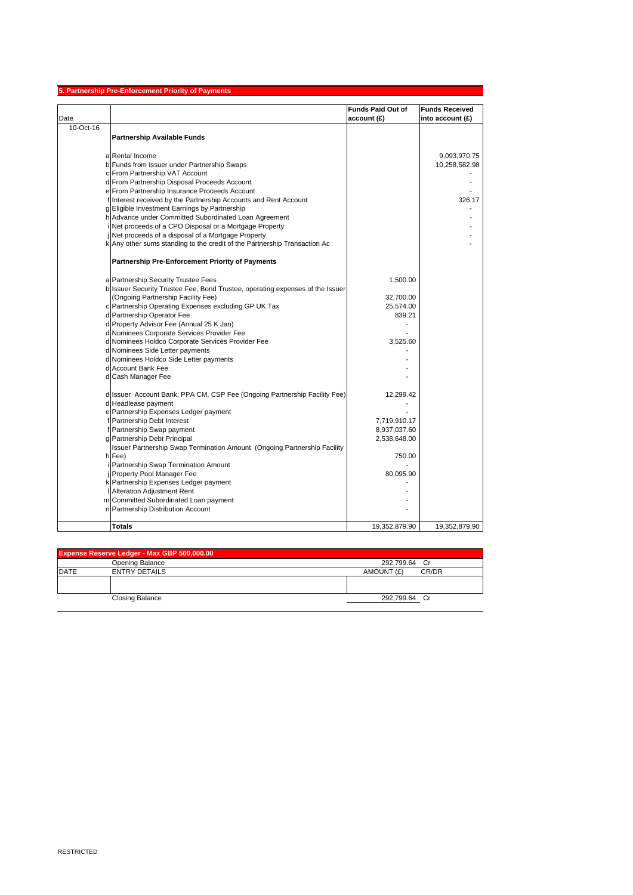|           | 5. Partnership Pre-Enforcement Priority of Payments                           |                          |                       |
|-----------|-------------------------------------------------------------------------------|--------------------------|-----------------------|
|           |                                                                               | <b>Funds Paid Out of</b> | <b>Funds Received</b> |
| Date      |                                                                               | account(E)               | into account (£)      |
| 10-Oct-16 |                                                                               |                          |                       |
|           | <b>Partnership Available Funds</b>                                            |                          |                       |
|           |                                                                               |                          |                       |
|           | a Rental Income                                                               |                          | 9,093,970.75          |
|           | b Funds from Issuer under Partnership Swaps                                   |                          | 10,258,582.98         |
|           | c From Partnership VAT Account                                                |                          |                       |
|           | d From Partnership Disposal Proceeds Account                                  |                          |                       |
|           | e From Partnership Insurance Proceeds Account                                 |                          |                       |
|           | Interest received by the Partnership Accounts and Rent Account                |                          | 326.17                |
|           | g Eligible Investment Earnings by Partnership                                 |                          |                       |
|           | h Advance under Committed Subordinated Loan Agreement                         |                          |                       |
|           | Net proceeds of a CPO Disposal or a Mortgage Property                         |                          |                       |
|           | Net proceeds of a disposal of a Mortgage Property                             |                          |                       |
|           | k Any other sums standing to the credit of the Partnership Transaction Ac     |                          |                       |
|           | Partnership Pre-Enforcement Priority of Payments                              |                          |                       |
|           |                                                                               |                          |                       |
|           | a Partnership Security Trustee Fees                                           | 1,500.00                 |                       |
|           | b Issuer Security Trustee Fee, Bond Trustee, operating expenses of the Issuer |                          |                       |
|           | (Ongoing Partnership Facility Fee)                                            | 32,700.00                |                       |
|           | c Partnership Operating Expenses excluding GP UK Tax                          | 25,574.00                |                       |
|           | d Partnership Operator Fee                                                    | 839.21                   |                       |
|           | d Property Advisor Fee (Annual 25 K Jan)                                      | ÷.                       |                       |
|           | d Nominees Corporate Services Provider Fee                                    |                          |                       |
|           | d Nominees Holdco Corporate Services Provider Fee                             | 3.525.60                 |                       |
|           | d Nominees Side Letter payments                                               |                          |                       |
|           | d Nominees Holdco Side Letter payments                                        |                          |                       |
|           | d Account Bank Fee                                                            |                          |                       |
|           | d Cash Manager Fee                                                            |                          |                       |
|           | d Issuer Account Bank, PPA CM, CSP Fee (Ongoing Partnership Facility Fee)     | 12,299.42                |                       |
|           | d Headlease payment                                                           |                          |                       |
|           | e Partnership Expenses Ledger payment                                         |                          |                       |
|           | Partnership Debt Interest                                                     | 7,719,910.17             |                       |
|           | Partnership Swap payment                                                      | 8,937,037.60             |                       |
|           | g Partnership Debt Principal                                                  | 2,538,648.00             |                       |
|           | Issuer Partnership Swap Termination Amount (Ongoing Partnership Facility      |                          |                       |
|           | h Fee)                                                                        | 750.00                   |                       |
|           | Partnership Swap Termination Amount                                           |                          |                       |
|           | Property Pool Manager Fee                                                     | 80,095.90                |                       |
|           | k Partnership Expenses Ledger payment                                         |                          |                       |
|           | Alteration Adjustment Rent                                                    |                          |                       |
|           | m Committed Subordinated Loan payment                                         |                          |                       |
|           | n Partnership Distribution Account                                            |                          |                       |
|           | <b>Totals</b>                                                                 | 19,352,879.90            | 19,352,879.90         |
|           |                                                                               |                          |                       |

| <b>Expense Reserve Ledger - Max GBP 500,000.00</b> |                        |                     |
|----------------------------------------------------|------------------------|---------------------|
|                                                    | <b>Opening Balance</b> | 292.799.64 Cr       |
| <b>DATE</b>                                        | <b>ENTRY DETAILS</b>   | CR/DR<br>AMOUNT (£) |
|                                                    |                        |                     |
|                                                    | <b>Closing Balance</b> | 292,799.64 Cr       |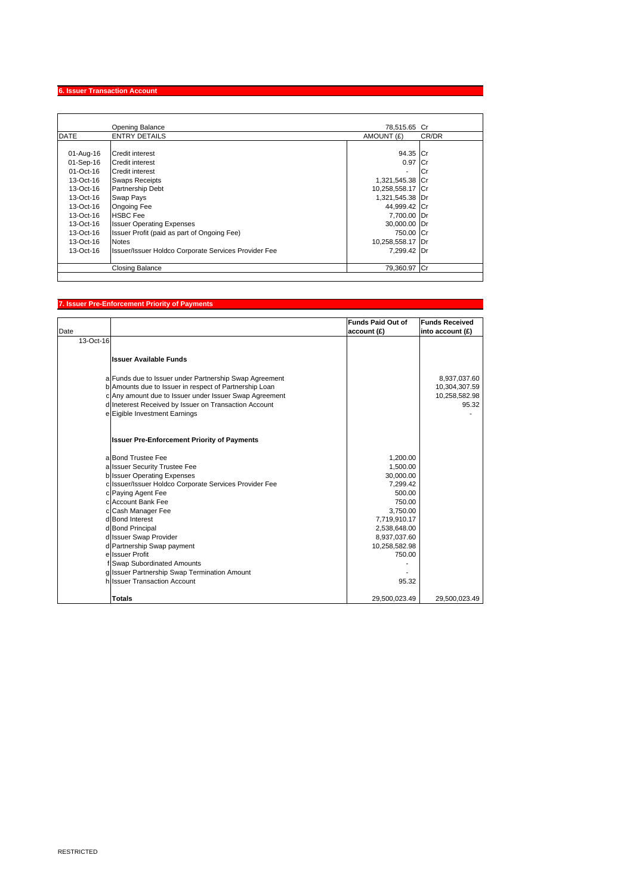#### **6. Issuer Transaction Account**

|             | <b>Opening Balance</b>                               | 78.515.65 Cr     |       |
|-------------|------------------------------------------------------|------------------|-------|
| <b>DATE</b> | <b>ENTRY DETAILS</b>                                 | AMOUNT (£)       | CR/DR |
|             |                                                      |                  |       |
| 01-Aug-16   | Credit interest                                      | 94.35 Cr         |       |
| 01-Sep-16   | Credit interest                                      | 0.97 Cr          |       |
| 01-Oct-16   | Credit interest                                      | ۰.               | Cr    |
| 13-Oct-16   | <b>Swaps Receipts</b>                                | 1,321,545.38 Cr  |       |
| 13-Oct-16   | <b>Partnership Debt</b>                              | 10,258,558.17 Cr |       |
| $13-Ort-16$ | Swap Pays                                            | 1,321,545.38 Dr  |       |
| 13-Oct-16   | <b>Ongoing Fee</b>                                   | 44.999.42 Cr     |       |
| 13-Oct-16   | <b>HSBC</b> Fee                                      | 7,700.00 Dr      |       |
| $13-Ort-16$ | <b>Issuer Operating Expenses</b>                     | 30.000.00 Dr     |       |
| 13-Oct-16   | Issuer Profit (paid as part of Ongoing Fee)          | 750.00 Cr        |       |
| 13-Oct-16   | <b>Notes</b>                                         | 10,258,558.17 Dr |       |
| $13-Oct-16$ | Issuer/Issuer Holdco Corporate Services Provider Fee | 7.299.42 Dr      |       |
|             | Closing Balance                                      | 79.360.97 Cr     |       |

### **7. Issuer Pre-Enforcement Priority of Payments**

| Date |                                                                              | <b>Funds Paid Out of</b><br>account(f) | <b>Funds Received</b><br>into account $(f)$ |
|------|------------------------------------------------------------------------------|----------------------------------------|---------------------------------------------|
|      | 13-Oct-16                                                                    |                                        |                                             |
|      | <b>Issuer Available Funds</b>                                                |                                        |                                             |
|      | a Funds due to Issuer under Partnership Swap Agreement                       |                                        | 8,937,037.60                                |
|      | b Amounts due to Issuer in respect of Partnership Loan                       |                                        | 10,304,307.59                               |
|      | c Any amount due to Issuer under Issuer Swap Agreement                       |                                        | 10,258,582.98                               |
|      | d Ineterest Received by Issuer on Transaction Account                        |                                        | 95.32                                       |
|      | e Eigible Investment Earnings                                                |                                        |                                             |
|      | <b>Issuer Pre-Enforcement Priority of Payments</b>                           |                                        |                                             |
|      | a Bond Trustee Fee                                                           | 1,200.00                               |                                             |
|      | a Issuer Security Trustee Fee                                                | 1,500.00                               |                                             |
|      | <b>b</b> Issuer Operating Expenses                                           | 30,000.00                              |                                             |
|      | c Issuer/Issuer Holdco Corporate Services Provider Fee                       | 7,299.42                               |                                             |
|      | c Paying Agent Fee                                                           | 500.00                                 |                                             |
|      | clAccount Bank Fee                                                           | 750.00                                 |                                             |
|      | c Cash Manager Fee                                                           | 3,750.00                               |                                             |
|      | d Bond Interest                                                              | 7,719,910.17                           |                                             |
|      | d Bond Principal                                                             | 2,538,648.00                           |                                             |
|      | d Issuer Swap Provider                                                       | 8,937,037.60                           |                                             |
|      | d Partnership Swap payment                                                   | 10,258,582.98                          |                                             |
|      | ellssuer Profit                                                              | 750.00                                 |                                             |
|      | f Swap Subordinated Amounts                                                  |                                        |                                             |
|      | g Issuer Partnership Swap Termination Amount<br>hilssuer Transaction Account |                                        |                                             |
|      |                                                                              | 95.32                                  |                                             |
|      | Totals                                                                       | 29,500,023.49                          | 29,500,023.49                               |